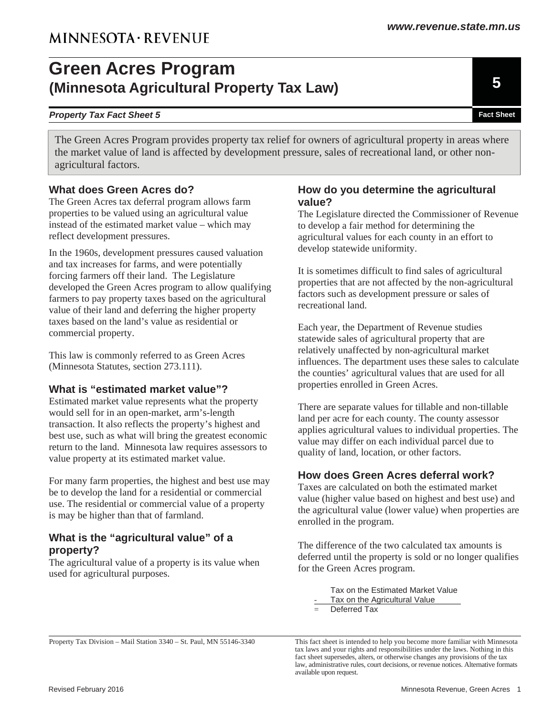# **Green Acres Program (Minnesota Agricultural Property Tax Law)**

#### **Property Tax Fact Sheet 5 Fact Sheet 5 Fact Sheet Fact Sheet Fact Sheet Fact Sheet Fact Sheet Fact Sheet**

The Green Acres Program provides property tax relief for owners of agricultural property in areas where the market value of land is affected by development pressure, sales of recreational land, or other nonagricultural factors.

### **What does Green Acres do?**

The Green Acres tax deferral program allows farm properties to be valued using an agricultural value instead of the estimated market value – which may reflect development pressures.

In the 1960s, development pressures caused valuation and tax increases for farms, and were potentially forcing farmers off their land. The Legislature developed the Green Acres program to allow qualifying farmers to pay property taxes based on the agricultural value of their land and deferring the higher property taxes based on the land's value as residential or commercial property.

This law is commonly referred to as Green Acres (Minnesota Statutes, section 273.111).

### **What is "estimated market value"?**

Estimated market value represents what the property would sell for in an open-market, arm's-length transaction. It also reflects the property's highest and best use, such as what will bring the greatest economic return to the land. Minnesota law requires assessors to value property at its estimated market value.

For many farm properties, the highest and best use may be to develop the land for a residential or commercial use. The residential or commercial value of a property is may be higher than that of farmland.

#### **What is the "agricultural value" of a property?**

The agricultural value of a property is its value when used for agricultural purposes.

#### **How do you determine the agricultural value?**

The Legislature directed the Commissioner of Revenue to develop a fair method for determining the agricultural values for each county in an effort to develop statewide uniformity.

It is sometimes difficult to find sales of agricultural properties that are not affected by the non-agricultural factors such as development pressure or sales of recreational land.

Each year, the Department of Revenue studies statewide sales of agricultural property that are relatively unaffected by non-agricultural market influences. The department uses these sales to calculate the counties' agricultural values that are used for all properties enrolled in Green Acres.

There are separate values for tillable and non-tillable land per acre for each county. The county assessor applies agricultural values to individual properties. The value may differ on each individual parcel due to quality of land, location, or other factors.

### **How does Green Acres deferral work?**

Taxes are calculated on both the estimated market value (higher value based on highest and best use) and the agricultural value (lower value) when properties are enrolled in the program.

The difference of the two calculated tax amounts is deferred until the property is sold or no longer qualifies for the Green Acres program.

> Tax on the Estimated Market Value Tax on the Agricultural Value

 $=$  Deferred Tax

Property Tax Division – Mail Station 3340 – St. Paul, MN 55146-3340

This fact sheet is intended to help you become more familiar with Minnesota tax laws and your rights and responsibilities under the laws. Nothing in this fact sheet supersedes, alters, or otherwise changes any provisions of the tax law, administrative rules, court decisions, or revenue notices. Alternative formats available upon request.

**5**